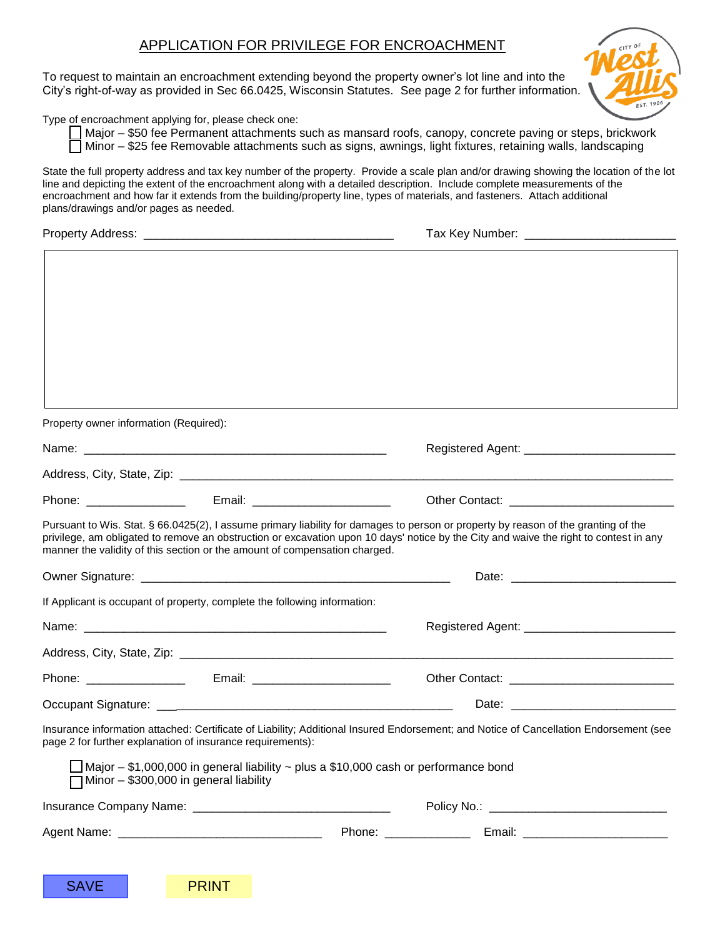## APPLICATION FOR PRIVILEGE FOR ENCROACHMENT

To request to maintain an encroachment extending beyond the property owner's lot line and into the City's right-of-way as provided in Sec 66.0425, Wisconsin Statutes. See page 2 for further information.



Type of encroachment applying for, please check one:

Major – \$50 fee Permanent attachments such as mansard roofs, canopy, concrete paving or steps, brickwork

 $\Box$  Minor – \$25 fee Removable attachments such as signs, awnings, light fixtures, retaining walls, landscaping

State the full property address and tax key number of the property. Provide a scale plan and/or drawing showing the location of the lot line and depicting the extent of the encroachment along with a detailed description. Include complete measurements of the encroachment and how far it extends from the building/property line, types of materials, and fasteners. Attach additional plans/drawings and/or pages as needed.

| <b>Property Address:</b> | Tax Key Number: |
|--------------------------|-----------------|
|                          |                 |

| Property owner information (Required):                                                                                                                                                                                         |                                                                                                                                                                                                                                                                             |
|--------------------------------------------------------------------------------------------------------------------------------------------------------------------------------------------------------------------------------|-----------------------------------------------------------------------------------------------------------------------------------------------------------------------------------------------------------------------------------------------------------------------------|
|                                                                                                                                                                                                                                |                                                                                                                                                                                                                                                                             |
|                                                                                                                                                                                                                                |                                                                                                                                                                                                                                                                             |
| Phone: the contract of the contract of the contract of the contract of the contract of the contract of the contract of the contract of the contract of the contract of the contract of the contract of the contract of the con |                                                                                                                                                                                                                                                                             |
| manner the validity of this section or the amount of compensation charged.                                                                                                                                                     | Pursuant to Wis. Stat. § 66.0425(2), I assume primary liability for damages to person or property by reason of the granting of the<br>privilege, am obligated to remove an obstruction or excavation upon 10 days' notice by the City and waive the right to contest in any |
|                                                                                                                                                                                                                                |                                                                                                                                                                                                                                                                             |
| If Applicant is occupant of property, complete the following information:                                                                                                                                                      |                                                                                                                                                                                                                                                                             |
|                                                                                                                                                                                                                                |                                                                                                                                                                                                                                                                             |
|                                                                                                                                                                                                                                |                                                                                                                                                                                                                                                                             |
| Phone: The contract of the contract of the contract of the contract of the contract of the contract of the contract of the contract of the contract of the contract of the contract of the contract of the contract of the con | Email: __________________________                                                                                                                                                                                                                                           |
|                                                                                                                                                                                                                                |                                                                                                                                                                                                                                                                             |
| page 2 for further explanation of insurance requirements):                                                                                                                                                                     | Insurance information attached: Certificate of Liability; Additional Insured Endorsement; and Notice of Cancellation Endorsement (see                                                                                                                                       |
| $\Box$ Minor - \$300,000 in general liability                                                                                                                                                                                  | $\Box$ Major – \$1,000,000 in general liability ~ plus a \$10,000 cash or performance bond                                                                                                                                                                                  |
|                                                                                                                                                                                                                                |                                                                                                                                                                                                                                                                             |
|                                                                                                                                                                                                                                |                                                                                                                                                                                                                                                                             |
|                                                                                                                                                                                                                                |                                                                                                                                                                                                                                                                             |
| <b>SAVE</b><br><b>PRINT</b>                                                                                                                                                                                                    |                                                                                                                                                                                                                                                                             |